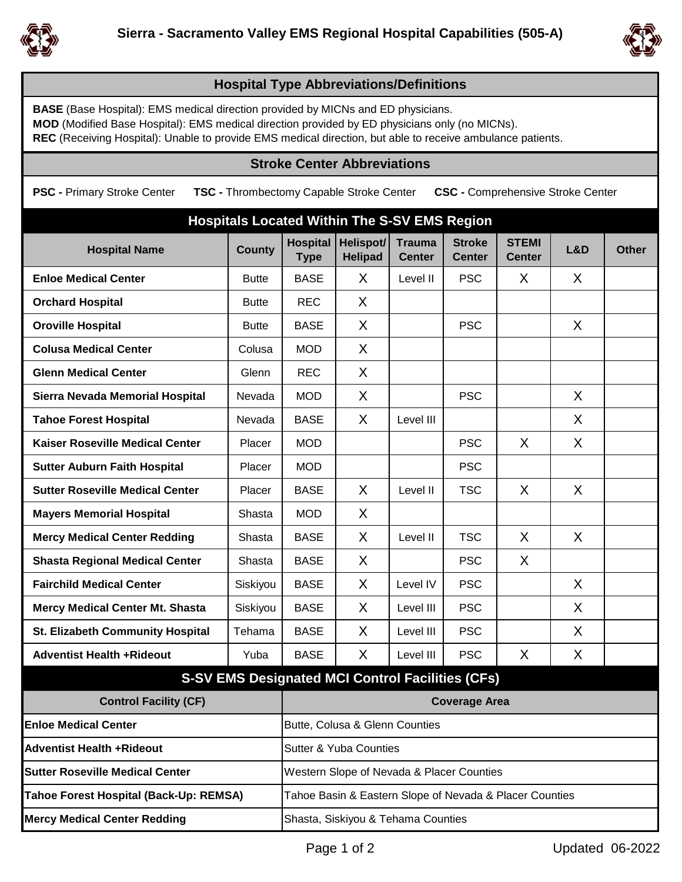



## **Hospital Type Abbreviations/Definitions**

**BASE** (Base Hospital): EMS medical direction provided by MICNs and ED physicians.

**MOD** (Modified Base Hospital): EMS medical direction provided by ED physicians only (no MICNs).

**REC** (Receiving Hospital): Unable to provide EMS medical direction, but able to receive ambulance patients.

## **Stroke Center Abbreviations**

**PSC -** Primary Stroke Center **TSC -** Thrombectomy Capable Stroke Center **CSC -** Comprehensive Stroke Center

| <b>Hospitals Located Within The S-SV EMS Region</b>     |               |                                                         |                                    |                                |                                |                               |     |              |  |  |  |
|---------------------------------------------------------|---------------|---------------------------------------------------------|------------------------------------|--------------------------------|--------------------------------|-------------------------------|-----|--------------|--|--|--|
| <b>Hospital Name</b>                                    | <b>County</b> | <b>Hospital</b><br><b>Type</b>                          | <b>Helispot/</b><br><b>Helipad</b> | <b>Trauma</b><br><b>Center</b> | <b>Stroke</b><br><b>Center</b> | <b>STEMI</b><br><b>Center</b> | L&D | <b>Other</b> |  |  |  |
| <b>Enloe Medical Center</b>                             | <b>Butte</b>  | <b>BASE</b>                                             | X                                  | Level II                       | <b>PSC</b>                     | X                             | X   |              |  |  |  |
| <b>Orchard Hospital</b>                                 | <b>Butte</b>  | <b>REC</b>                                              | X                                  |                                |                                |                               |     |              |  |  |  |
| <b>Oroville Hospital</b>                                | <b>Butte</b>  | <b>BASE</b>                                             | X                                  |                                | <b>PSC</b>                     |                               | X   |              |  |  |  |
| <b>Colusa Medical Center</b>                            | Colusa        | <b>MOD</b>                                              | X                                  |                                |                                |                               |     |              |  |  |  |
| <b>Glenn Medical Center</b>                             | Glenn         | <b>REC</b>                                              | X                                  |                                |                                |                               |     |              |  |  |  |
| Sierra Nevada Memorial Hospital                         | Nevada        | <b>MOD</b>                                              | X                                  |                                | <b>PSC</b>                     |                               | X   |              |  |  |  |
| <b>Tahoe Forest Hospital</b>                            | Nevada        | <b>BASE</b>                                             | X                                  | Level III                      |                                |                               | X   |              |  |  |  |
| <b>Kaiser Roseville Medical Center</b>                  | Placer        | <b>MOD</b>                                              |                                    |                                | <b>PSC</b>                     | X                             | X   |              |  |  |  |
| <b>Sutter Auburn Faith Hospital</b>                     | Placer        | <b>MOD</b>                                              |                                    |                                | <b>PSC</b>                     |                               |     |              |  |  |  |
| <b>Sutter Roseville Medical Center</b>                  | Placer        | <b>BASE</b>                                             | X                                  | Level II                       | <b>TSC</b>                     | X                             | X   |              |  |  |  |
| <b>Mayers Memorial Hospital</b>                         | Shasta        | <b>MOD</b>                                              | X                                  |                                |                                |                               |     |              |  |  |  |
| <b>Mercy Medical Center Redding</b>                     | Shasta        | <b>BASE</b>                                             | X                                  | Level II                       | <b>TSC</b>                     | X                             | X   |              |  |  |  |
| <b>Shasta Regional Medical Center</b>                   | Shasta        | <b>BASE</b>                                             | X                                  |                                | <b>PSC</b>                     | X                             |     |              |  |  |  |
| <b>Fairchild Medical Center</b>                         | Siskiyou      | <b>BASE</b>                                             | X                                  | Level IV                       | <b>PSC</b>                     |                               | X   |              |  |  |  |
| <b>Mercy Medical Center Mt. Shasta</b>                  | Siskiyou      | <b>BASE</b>                                             | X                                  | Level III                      | <b>PSC</b>                     |                               | X   |              |  |  |  |
| St. Elizabeth Community Hospital                        | Tehama        | <b>BASE</b>                                             | X                                  | Level III                      | <b>PSC</b>                     |                               | X   |              |  |  |  |
| <b>Adventist Health +Rideout</b>                        | Yuba          | <b>BASE</b>                                             | X                                  | Level III                      | <b>PSC</b>                     | X                             | X   |              |  |  |  |
| <b>S-SV EMS Designated MCI Control Facilities (CFs)</b> |               |                                                         |                                    |                                |                                |                               |     |              |  |  |  |
| <b>Control Facility (CF)</b>                            |               | <b>Coverage Area</b>                                    |                                    |                                |                                |                               |     |              |  |  |  |
| <b>Enloe Medical Center</b>                             |               | Butte, Colusa & Glenn Counties                          |                                    |                                |                                |                               |     |              |  |  |  |
| <b>Adventist Health +Rideout</b>                        |               | <b>Sutter &amp; Yuba Counties</b>                       |                                    |                                |                                |                               |     |              |  |  |  |
| <b>Sutter Roseville Medical Center</b>                  |               | Western Slope of Nevada & Placer Counties               |                                    |                                |                                |                               |     |              |  |  |  |
| Tahoe Forest Hospital (Back-Up: REMSA)                  |               | Tahoe Basin & Eastern Slope of Nevada & Placer Counties |                                    |                                |                                |                               |     |              |  |  |  |
| <b>Mercy Medical Center Redding</b>                     |               | Shasta, Siskiyou & Tehama Counties                      |                                    |                                |                                |                               |     |              |  |  |  |